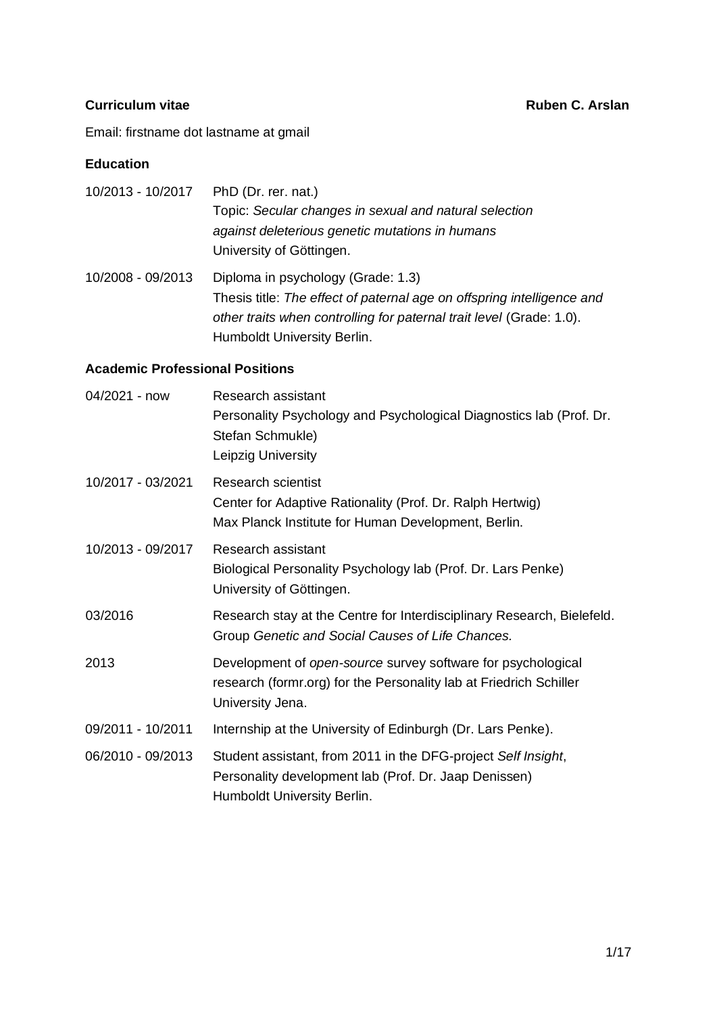Email: firstname dot lastname at gmail

#### **Education**

| 10/2013 - 10/2017 | PhD (Dr. rer. nat.)                                                    |
|-------------------|------------------------------------------------------------------------|
|                   | Topic: Secular changes in sexual and natural selection                 |
|                   | against deleterious genetic mutations in humans                        |
|                   | University of Göttingen.                                               |
| 10/2008 - 09/2013 | Diploma in psychology (Grade: 1.3)                                     |
|                   | Thesis title: The effect of paternal age on offspring intelligence and |
|                   | other traits when controlling for paternal trait level (Grade: 1.0).   |
|                   | Humboldt University Berlin.                                            |

# **Academic Professional Positions**

| 04/2021 - now     | Research assistant<br>Personality Psychology and Psychological Diagnostics lab (Prof. Dr.<br>Stefan Schmukle)<br>Leipzig University                    |
|-------------------|--------------------------------------------------------------------------------------------------------------------------------------------------------|
| 10/2017 - 03/2021 | <b>Research scientist</b><br>Center for Adaptive Rationality (Prof. Dr. Ralph Hertwig)<br>Max Planck Institute for Human Development, Berlin.          |
| 10/2013 - 09/2017 | Research assistant<br>Biological Personality Psychology lab (Prof. Dr. Lars Penke)<br>University of Göttingen.                                         |
| 03/2016           | Research stay at the Centre for Interdisciplinary Research, Bielefeld.<br>Group Genetic and Social Causes of Life Chances.                             |
| 2013              | Development of open-source survey software for psychological<br>research (formr.org) for the Personality lab at Friedrich Schiller<br>University Jena. |
| 09/2011 - 10/2011 | Internship at the University of Edinburgh (Dr. Lars Penke).                                                                                            |
| 06/2010 - 09/2013 | Student assistant, from 2011 in the DFG-project Self Insight,<br>Personality development lab (Prof. Dr. Jaap Denissen)<br>Humboldt University Berlin.  |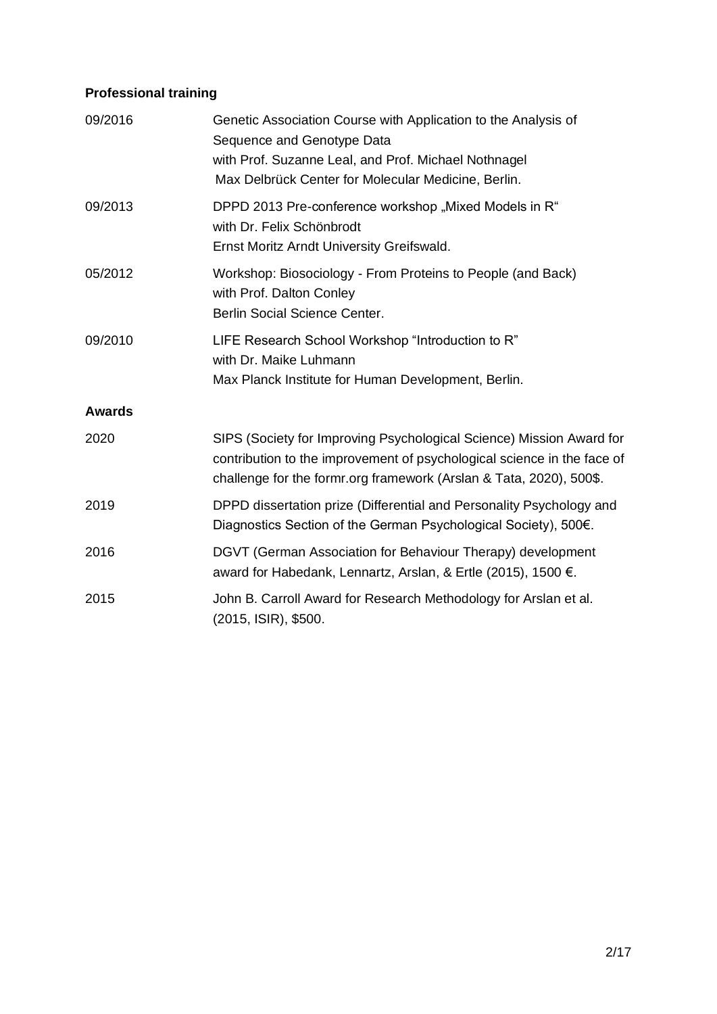# **Professional training**

| 09/2016       | Genetic Association Course with Application to the Analysis of<br>Sequence and Genotype Data<br>with Prof. Suzanne Leal, and Prof. Michael Nothnagel<br>Max Delbrück Center for Molecular Medicine, Berlin.            |
|---------------|------------------------------------------------------------------------------------------------------------------------------------------------------------------------------------------------------------------------|
| 09/2013       | DPPD 2013 Pre-conference workshop "Mixed Models in R"<br>with Dr. Felix Schönbrodt<br>Ernst Moritz Arndt University Greifswald.                                                                                        |
| 05/2012       | Workshop: Biosociology - From Proteins to People (and Back)<br>with Prof. Dalton Conley<br>Berlin Social Science Center.                                                                                               |
| 09/2010       | LIFE Research School Workshop "Introduction to R"<br>with Dr. Maike Luhmann<br>Max Planck Institute for Human Development, Berlin.                                                                                     |
| <b>Awards</b> |                                                                                                                                                                                                                        |
| 2020          | SIPS (Society for Improving Psychological Science) Mission Award for<br>contribution to the improvement of psychological science in the face of<br>challenge for the formr.org framework (Arslan & Tata, 2020), 500\$. |
| 2019          | DPPD dissertation prize (Differential and Personality Psychology and<br>Diagnostics Section of the German Psychological Society), 500€.                                                                                |
| 2016          | DGVT (German Association for Behaviour Therapy) development<br>award for Habedank, Lennartz, Arslan, & Ertle (2015), 1500 €.                                                                                           |
| 2015          | John B. Carroll Award for Research Methodology for Arslan et al.<br>(2015, ISIR), \$500.                                                                                                                               |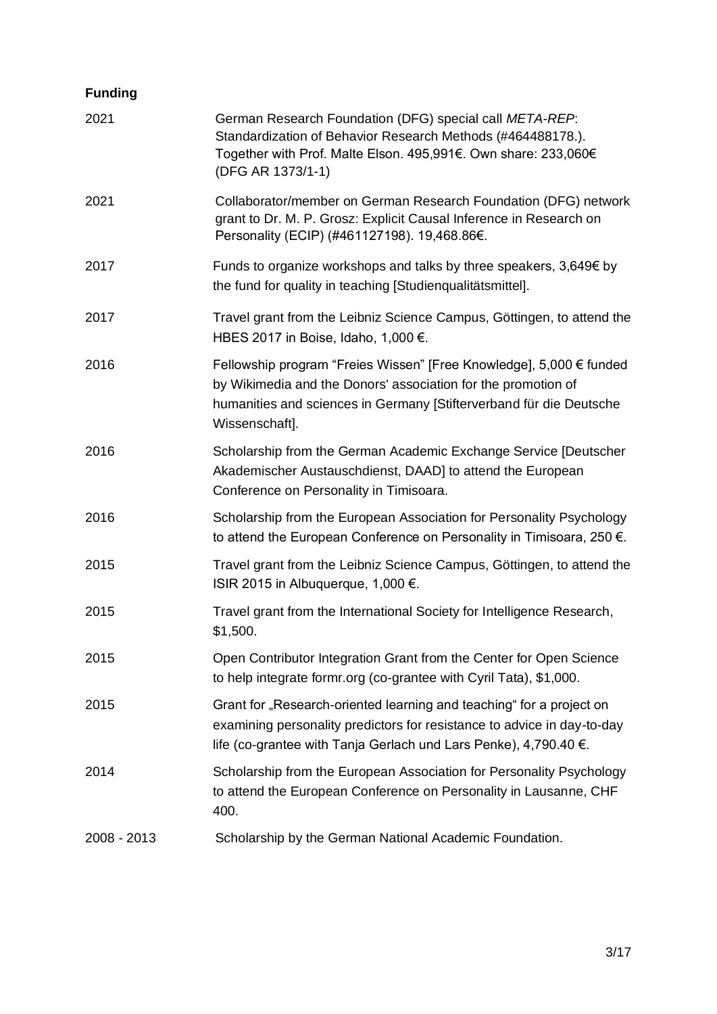# **Funding**

| 2021        | German Research Foundation (DFG) special call META-REP:<br>Standardization of Behavior Research Methods (#464488178.).<br>Together with Prof. Malte Elson. 495,991€. Own share: 233,060€<br>(DFG AR 1373/1-1)                 |
|-------------|-------------------------------------------------------------------------------------------------------------------------------------------------------------------------------------------------------------------------------|
| 2021        | Collaborator/member on German Research Foundation (DFG) network<br>grant to Dr. M. P. Grosz: Explicit Causal Inference in Research on<br>Personality (ECIP) (#461127198). 19,468.86€.                                         |
| 2017        | Funds to organize workshops and talks by three speakers, 3,649€ by<br>the fund for quality in teaching [Studienqualitätsmittel].                                                                                              |
| 2017        | Travel grant from the Leibniz Science Campus, Göttingen, to attend the<br>HBES 2017 in Boise, Idaho, 1,000 €.                                                                                                                 |
| 2016        | Fellowship program "Freies Wissen" [Free Knowledge], 5,000 € funded<br>by Wikimedia and the Donors' association for the promotion of<br>humanities and sciences in Germany [Stifterverband für die Deutsche<br>Wissenschaft]. |
| 2016        | Scholarship from the German Academic Exchange Service [Deutscher<br>Akademischer Austauschdienst, DAAD] to attend the European<br>Conference on Personality in Timisoara.                                                     |
| 2016        | Scholarship from the European Association for Personality Psychology<br>to attend the European Conference on Personality in Timisoara, 250 $\epsilon$ .                                                                       |
| 2015        | Travel grant from the Leibniz Science Campus, Göttingen, to attend the<br>ISIR 2015 in Albuquerque, 1,000 €.                                                                                                                  |
| 2015        | Travel grant from the International Society for Intelligence Research,<br>\$1,500.                                                                                                                                            |
| 2015        | Open Contributor Integration Grant from the Center for Open Science<br>to help integrate formr.org (co-grantee with Cyril Tata), \$1,000.                                                                                     |
| 2015        | Grant for "Research-oriented learning and teaching" for a project on<br>examining personality predictors for resistance to advice in day-to-day<br>life (co-grantee with Tanja Gerlach und Lars Penke), 4,790.40 €.           |
| 2014        | Scholarship from the European Association for Personality Psychology<br>to attend the European Conference on Personality in Lausanne, CHF<br>400.                                                                             |
| 2008 - 2013 | Scholarship by the German National Academic Foundation.                                                                                                                                                                       |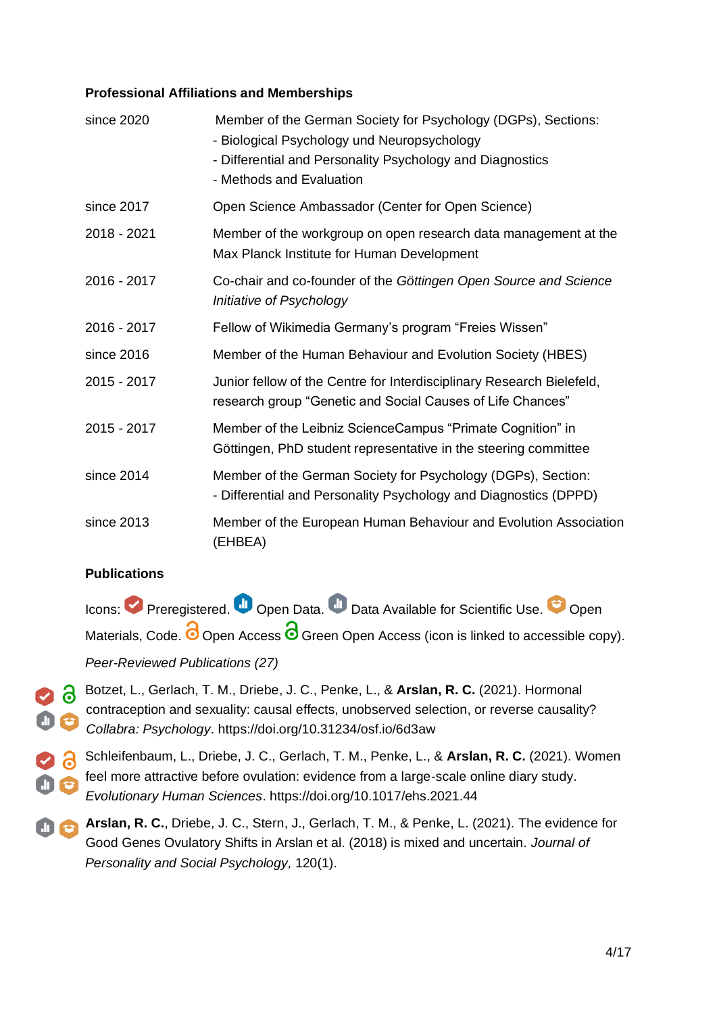#### **Professional Affiliations and Memberships**

| since 2020  | Member of the German Society for Psychology (DGPs), Sections:<br>- Biological Psychology und Neuropsychology<br>- Differential and Personality Psychology and Diagnostics<br>- Methods and Evaluation |
|-------------|-------------------------------------------------------------------------------------------------------------------------------------------------------------------------------------------------------|
| since 2017  | Open Science Ambassador (Center for Open Science)                                                                                                                                                     |
| 2018 - 2021 | Member of the workgroup on open research data management at the<br>Max Planck Institute for Human Development                                                                                         |
| 2016 - 2017 | Co-chair and co-founder of the Göttingen Open Source and Science<br>Initiative of Psychology                                                                                                          |
| 2016 - 2017 | Fellow of Wikimedia Germany's program "Freies Wissen"                                                                                                                                                 |
| since 2016  | Member of the Human Behaviour and Evolution Society (HBES)                                                                                                                                            |
| 2015 - 2017 | Junior fellow of the Centre for Interdisciplinary Research Bielefeld,<br>research group "Genetic and Social Causes of Life Chances"                                                                   |
| 2015 - 2017 | Member of the Leibniz ScienceCampus "Primate Cognition" in<br>Göttingen, PhD student representative in the steering committee                                                                         |
| since 2014  | Member of the German Society for Psychology (DGPs), Section:<br>- Differential and Personality Psychology and Diagnostics (DPPD)                                                                      |
| since 2013  | Member of the European Human Behaviour and Evolution Association<br>(EHBEA)                                                                                                                           |

### **Publications**

Icons: Preregistered. Open Data. Data Available for Scientific Use. Open Materials, Code.  $\bigcirc$  Open Access  $\bigcirc$  Green Open Access (icon is linked to accessible copy).

# *Peer-Reviewed Publications (27)*

- Botzet, L., Gerlach, T. M., Driebe, J. C., Penke, L., & **Arslan, R. C.** (2021). Hormonal contraception and sexuality: causal effects, unobserved selection, or reverse causality? *Collabra: Psychology*.<https://doi.org/10.31234/osf.io/6d3aw>
- Schleifenbaum, L., Driebe, J. C., Gerlach, T. M., Penke, L., & **Arslan, R. C.** (2021). Women feel more attractive before ovulation: evidence from a large-scale online diary study. *Evolutionary Human Sciences*.<https://doi.org/10.1017/ehs.2021.44>
- **Arslan, R. C.**, Driebe, J. C., Stern, J., Gerlach, T. M., & Penke, L. (2021). The evidence for  $0<sub>c</sub>$ Good Genes Ovulatory Shifts in Arslan et al. (2018) is mixed and uncertain. *Journal of Personality and Social Psychology,* 120(1).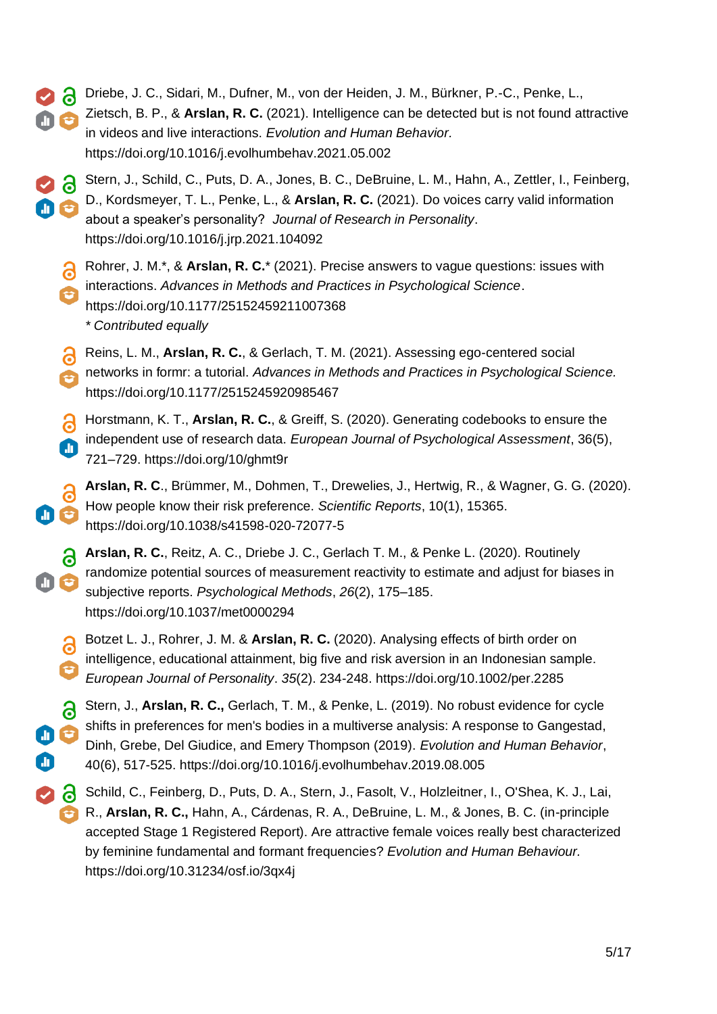- Driebe, J. C., Sidari, M., Dufner, M., von der Heiden, J. M., Bürkner, P.-C., Penke, L.,
	- Zietsch, B. P., & **Arslan, R. C.** (2021). Intelligence can be detected but is not found attractive in videos and live interactions. *Evolution and Human Behavior.* <https://doi.org/10.1016/j.evolhumbehav.2021.05.002>
- Stern, J., Schild, C., Puts, D. A., Jones, B. C., DeBruine, L. M., Hahn, A., Zettler, I., Feinberg, D., Kordsmeyer, T. L., Penke, L., & **Arslan, R. C.** (2021). Do voices carry valid information about a speaker's personality? *Journal of Research in Personality*. <https://doi.org/10.1016/j.jrp.2021.104092>
	- Rohrer, J. M.\*, & **Arslan, R. C.**\* (2021). Precise answers to vague questions: issues with interactions. *Advances in Methods and Practices in Psychological Science*. <https://doi.org/10.1177/25152459211007368> *\* Contributed equally*
	- Reins, L. M., **Arslan, R. C.**, & Gerlach, T. M. (2021). Assessing ego-centered social networks in formr: a tutorial. *Advances in Methods and Practices in Psychological Science.*  <https://doi.org/10.1177/2515245920985467>
	- Horstmann, K. T., **Arslan, R. C.**, & Greiff, S. (2020). Generating codebooks to ensure the independent use of research data. *European Journal of Psychological Assessment*, 36(5), m 721–729. https://doi.org/10/ghmt9r
	- **Arslan, R. C**., Brümmer, M., Dohmen, T., Drewelies, J., Hertwig, R., & Wagner, G. G. (2020). a How people know their risk preference. *Scientific Reports*, 10(1), 15365. https://doi.org/10.1038/s41598-020-72077-5
	- **Arslan, R. C.**, Reitz, A. C., Driebe J. C., Gerlach T. M., & Penke L. (2020). Routinely randomize potential sources of measurement reactivity to estimate and adjust for biases in subjective reports. *Psychological Methods*, *26*(2), 175–185. <https://doi.org/10.1037/met0000294>
		- Botzet L. J., Rohrer, J. M. & **Arslan, R. C.** (2020). Analysing effects of birth order on 6 intelligence, educational attainment, big five and risk aversion in an Indonesian sample. *European Journal of Personality*. *35*(2). 234-248.<https://doi.org/10.1002/per.2285>
		- $\delta$ Stern, J., **Arslan, R. C.,** Gerlach, T. M., & Penke, L. (2019). No robust evidence for cycle shifts in preferences for men's bodies in a multiverse analysis: A response to Gangestad, Dinh, Grebe, Del Giudice, and Emery Thompson (2019). *Evolution and Human Behavior*, 40(6), 517-525. https://doi.org[/10.1016/j.evolhumbehav.2019.08.005](http://doi.org/10.1016/j.evolhumbehav.2019.08.005)
		- Schild, C., Feinberg, D., Puts, D. A., Stern, J., Fasolt, V., Holzleitner, I., O'Shea, K. J., Lai, R., **Arslan, R. C.,** Hahn, A., Cárdenas, R. A., DeBruine, L. M., & Jones, B. C. (in-principle accepted Stage 1 Registered Report). Are attractive female voices really best characterized by feminine fundamental and formant frequencies? *Evolution and Human Behaviour.* https://doi.org[/10.31234/osf.io/3qx4j](https://doi.org/10.31234/osf.io/3qx4j)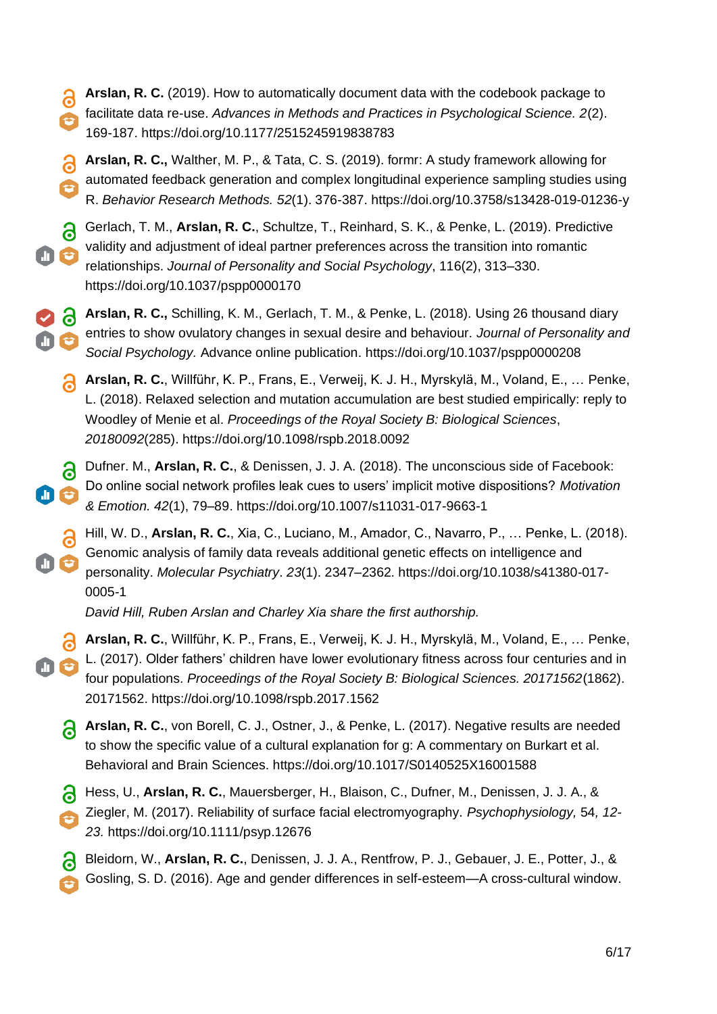- **Arslan, R. C.** (2019). How to automatically document data with the codebook package to Э facilitate data re-use. *Advances in Methods and Practices in Psychological Science. 2*(2). 169-187. https://doi.org[/10.1177/2515245919838783](http://dx.doi.org/10.1177/2515245919838783)
- 8 **Arslan, R. C.,** Walther, M. P., & Tata, C. S. (2019). formr: A study framework allowing for automated feedback generation and complex longitudinal experience sampling studies using R. *Behavior Research Methods. 52*(1). 376-387. https://doi.org[/10.3758/s13428-019-01236-y](https://dx.doi.org/10.3758/s13428-019-01236-y)
- $\partial$ Gerlach, T. M., **Arslan, R. C.**, Schultze, T., Reinhard, S. K., & Penke, L. (2019). Predictive validity and adjustment of ideal partner preferences across the transition into romantic relationships. *Journal of Personality and Social Psychology*, 116(2), 313–330. https://doi.org/10.1037/pspp0000170
- **Arslan, R. C.,** Schilling, K. M., Gerlach, T. M., & Penke, L. (2018). Using 26 thousand diary entries to show ovulatory changes in sexual desire and behaviour. *Journal of Personality and Social Psychology.* Advance online publication. https://doi.org[/10.1037/pspp0000208](http://dx.doi.org/10.1037/pspp0000208)
	- **Arslan, R. C.**, Willführ, K. P., Frans, E., Verweij, K. J. H., Myrskylä, M., Voland, E., … Penke, L. (2018). Relaxed selection and mutation accumulation are best studied empirically: reply to Woodley of Menie et al. *Proceedings of the Royal Society B: Biological Sciences*, *20180092*(285). https://doi.org[/10.1098/rspb.2018.0092](http://dx.doi.org/10.1098/rspb.2018.0092)
- Dufner. M., **Arslan, R. C.**, & Denissen, J. J. A. (2018). The unconscious side of Facebook: ချ Do online social network profiles leak cues to users' implicit motive dispositions? *Motivation & Emotion. 42*(1), 79–89. https://doi.org[/10.1007/s11031-017-9663-1](http://doi.org/10.1007/s11031-017-9663-1)
- Hill, W. D., **Arslan, R. C.**, Xia, C., Luciano, M., Amador, C., Navarro, P., … Penke, L. (2018). Genomic analysis of family data reveals additional genetic effects on intelligence and personality. *Molecular Psychiatry*. *23*(1). 2347–2362. https://doi.org[/10.1038/s41380-017-](http://doi.org/10.1038/s41380-017-0005-1) [0005-1](http://doi.org/10.1038/s41380-017-0005-1)

*David Hill, Ruben Arslan and Charley Xia share the first authorship.*

- **Arslan, R. C.**, Willführ, K. P., Frans, E., Verweij, K. J. H., Myrskylä, M., Voland, E., … Penke, L. (2017). Older fathers' children have lower evolutionary fitness across four centuries and in four populations. *Proceedings of the Royal Society B: Biological Sciences. 20171562*(1862). 20171562. https://doi.org[/10.1098/rspb.2017.1562](http://doi.org/10.1098/rspb.2017.1562)
	- **Arslan, R. C.**, von Borell, C. J., Ostner, J., & Penke, L. (2017). Negative results are needed to show the specific value of a cultural explanation for g: A commentary on Burkart et al. Behavioral and Brain Sciences. https://doi.org[/10.1017/S0140525X16001588](http://doi.org/10.1017/S0140525X16001588)
	- Hess, U., **Arslan, R. C.**, Mauersberger, H., Blaison, C., Dufner, M., Denissen, J. J. A., &
	- Ziegler, M. (2017). Reliability of surface facial electromyography. *Psychophysiology,* 54*, 12- 23.* https://doi.org[/10.1111/psyp.12676](http://doi.org/10.1111/psyp.12676)
	- Bleidorn, W., **Arslan, R. C.**, Denissen, J. J. A., Rentfrow, P. J., Gebauer, J. E., Potter, J., & Gosling, S. D. (2016). Age and gender differences in self-esteem—A cross-cultural window.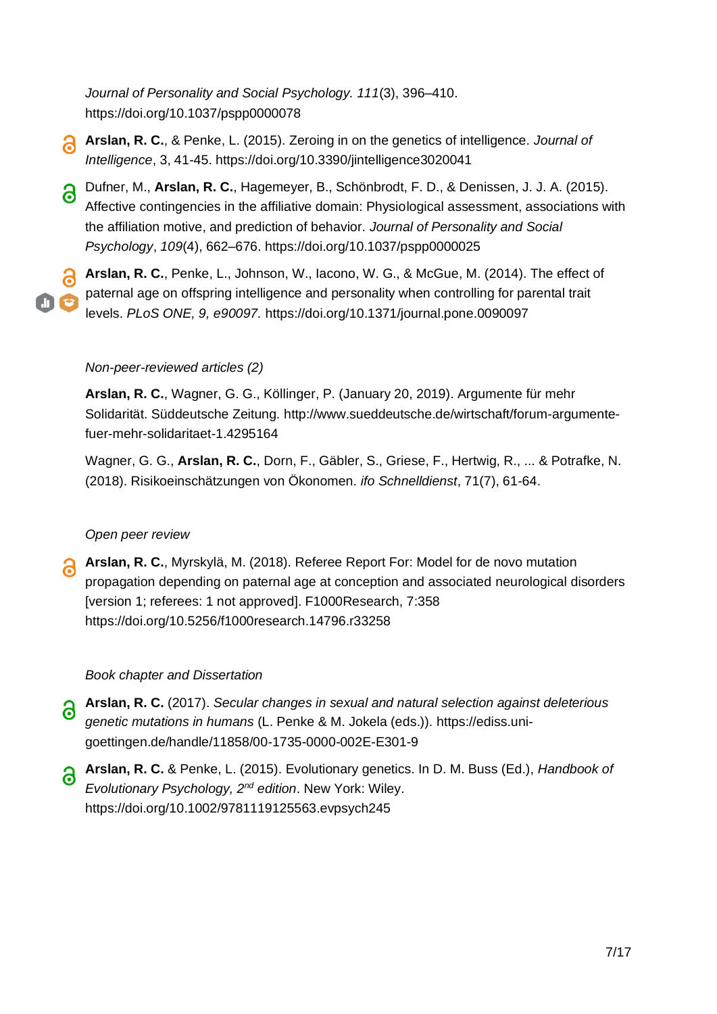*Journal of Personality and Social Psychology. 111*(3), 396–410. https://doi.org[/10.1037/pspp0000078](http://doi.org/10.1037/pspp0000078)

- **Arslan, R. C.**, & Penke, L. (2015). Zeroing in on the genetics of intelligence. *Journal of Intelligence*, 3, 41-45. https://doi.org[/10.3390/jintelligence3020041](http://doi.org/10.3390/jintelligence3020041)
- Dufner, M., **Arslan, R. C.**, Hagemeyer, B., Schönbrodt, F. D., & Denissen, J. J. A. (2015). a. Affective contingencies in the affiliative domain: Physiological assessment, associations with the affiliation motive, and prediction of behavior. *Journal of Personality and Social Psychology*, *109*(4), 662–676. https://doi.org[/10.1037/pspp0000025](http://doi.org/10.1037/pspp0000025)

**Arslan, R. C.**, Penke, L., Johnson, W., Iacono, W. G., & McGue, M. (2014). The effect of paternal age on offspring intelligence and personality when controlling for parental trait levels. *PLoS ONE, 9, e90097.* https://doi.org[/10.1371/journal.pone.0090097](http://doi.org/10.1371/journal.pone.0090097)

#### *Non-peer-reviewed articles (2)*

**Arslan, R. C.**, Wagner, G. G., Köllinger, P. (January 20, 2019). Argumente für mehr Solidarität. Süddeutsche Zeitung. [http://www.sueddeutsche.de/wirtschaft/forum-argumente](https://www.sueddeutsche.de/wirtschaft/forum-argumente-fuer-mehr-solidaritaet-1.4295164)[fuer-mehr-solidaritaet-1.4295164](https://www.sueddeutsche.de/wirtschaft/forum-argumente-fuer-mehr-solidaritaet-1.4295164)

Wagner, G. G., **Arslan, R. C.**, Dorn, F., Gäbler, S., Griese, F., Hertwig, R., ... & Potrafke, N. (2018). Risikoeinschätzungen von Ökonomen. *ifo Schnelldienst*, 71(7), 61-64.

#### *Open peer review*

**Arslan, R. C.**, Myrskylä, M. (2018). Referee Report For: Model for de novo mutation propagation depending on paternal age at conception and associated neurological disorders [version 1; referees: 1 not approved]. F1000Research, 7:358 https://doi.org[/10.5256/f1000research.14796.r33258](https://doi.org/10.5256/f1000research.14796.r33258)

#### *Book chapter and Dissertation*

- **Arslan, R. C.** (2017). *Secular changes in sexual and natural selection against deleterious genetic mutations in humans* (L. Penke & M. Jokela (eds.)). [https://ediss.uni](https://ediss.uni-goettingen.de/handle/11858/00-1735-0000-002E-E301-9)[goettingen.de/handle/11858/00-1735-0000-002E-E301-9](https://ediss.uni-goettingen.de/handle/11858/00-1735-0000-002E-E301-9)
- **Arslan, R. C.** & Penke, L. (2015). Evolutionary genetics. In D. M. Buss (Ed.), *Handbook of Evolutionary Psychology, 2nd edition*. New York: Wiley. https://doi.org[/10.1002/9781119125563.evpsych245](http://doi.org/10.1002/9781119125563.evpsych245)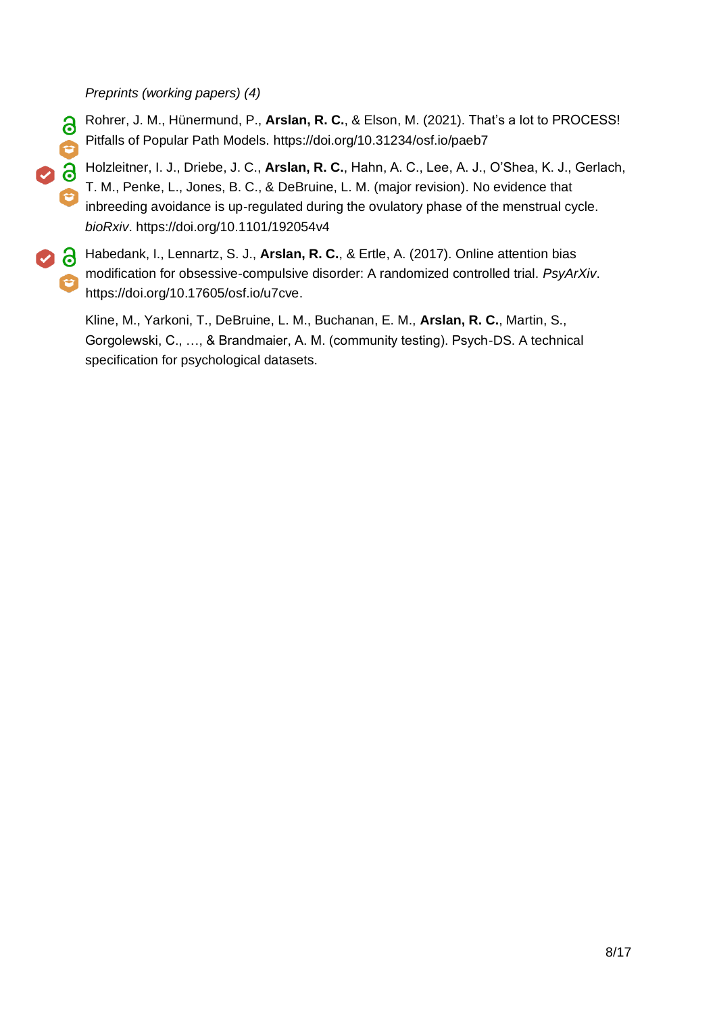*Preprints (working papers) (4)*

- Rohrer, J. M., Hünermund, P., **Arslan, R. C.**, & Elson, M. (2021). That's a lot to PROCESS! 8 Pitfalls of Popular Path Models.<https://doi.org/10.31234/osf.io/paeb7>
- **98** Holzleitner, I. J., Driebe, J. C., **Arslan, R. C.**, Hahn, A. C., Lee, A. J., O'Shea, K. J., Gerlach, T. M., Penke, L., Jones, B. C., & DeBruine, L. M. (major revision). No evidence that inbreeding avoidance is up-regulated during the ovulatory phase of the menstrual cycle. *bioRxiv*. https://doi.org[/10.1101/192054v4](https://dx.doi.org/10.1101/192054v4)
- Habedank, I., Lennartz, S. J., **Arslan, R. C.**, & Ertle, A. (2017). Online attention bias modification for obsessive-compulsive disorder: A randomized controlled trial. *PsyArXiv*. https://doi.org[/10.17605/osf.io/u7cve.](http://doi.org/10.17605/osf.io/u7cve)

Kline, M., Yarkoni, T., DeBruine, L. M., Buchanan, E. M., **Arslan, R. C.**, Martin, S., Gorgolewski, C., …, & Brandmaier, A. M. (community testing). Psych-DS. A technical specification for psychological datasets.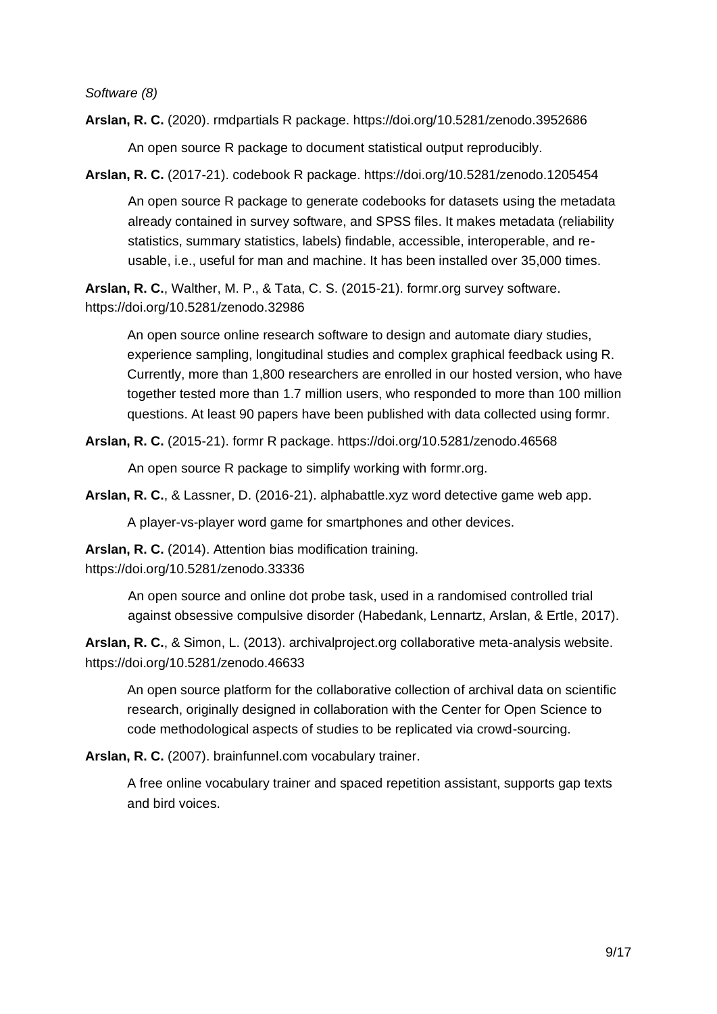*Software (8)*

**Arslan, R. C.** (2020). rmdpartials R package. https://doi.org[/10.5281/zenodo.3952686](http://doi.org/10.5281/zenodo.3952686)

An open source R package to document statistical output reproducibly.

**Arslan, R. C.** (2017-21). codebook R package. https://doi.org[/10.5281/zenodo.1205454](http://doi.org/10.5281/zenodo.1205454)

An open source R package to generate codebooks for datasets using the metadata already contained in survey software, and SPSS files. It makes metadata (reliability statistics, summary statistics, labels) findable, accessible, interoperable, and reusable, i.e., useful for man and machine. It has been installed over 35,000 times.

**Arslan, R. C.**, Walther, M. P., & Tata, C. S. (2015-21). formr.org survey software. https://doi.org[/10.5281/zenodo.32986](http://doi.org/10.5281/zenodo.32986)

An open source online research software to design and automate diary studies, experience sampling, longitudinal studies and complex graphical feedback using R. Currently, more than 1,800 researchers are enrolled in our hosted version, who have together tested more than 1.7 million users, who responded to more than 100 million questions. At least 90 papers have been published with data collected using formr.

**Arslan, R. C.** (2015-21). formr R package. https://doi.org[/10.5281/zenodo.46568](http://doi.org/10.5281/zenodo.46568)

An open source R package to simplify working with formr.org.

**Arslan, R. C.**, & Lassner, D. (2016-21). alphabattle.xyz word detective game web app.

A player-vs-player word game for smartphones and other devices.

**Arslan, R. C.** (2014). Attention bias modification training.

https://doi.org[/10.5281/zenodo.33336](http://doi.org/10.5281/zenodo.33336)

An open source and online dot probe task, used in a randomised controlled trial against obsessive compulsive disorder (Habedank, Lennartz, Arslan, & Ertle, 2017).

**Arslan, R. C.**, & Simon, L. (2013). archivalproject.org collaborative meta-analysis website. https://doi.org[/10.5281/zenodo.46633](http://doi.org/10.5281/zenodo.46633)

An open source platform for the collaborative collection of archival data on scientific research, originally designed in collaboration with the Center for Open Science to code methodological aspects of studies to be replicated via crowd-sourcing.

**Arslan, R. C.** (2007). brainfunnel.com vocabulary trainer.

A free online vocabulary trainer and spaced repetition assistant, supports gap texts and bird voices.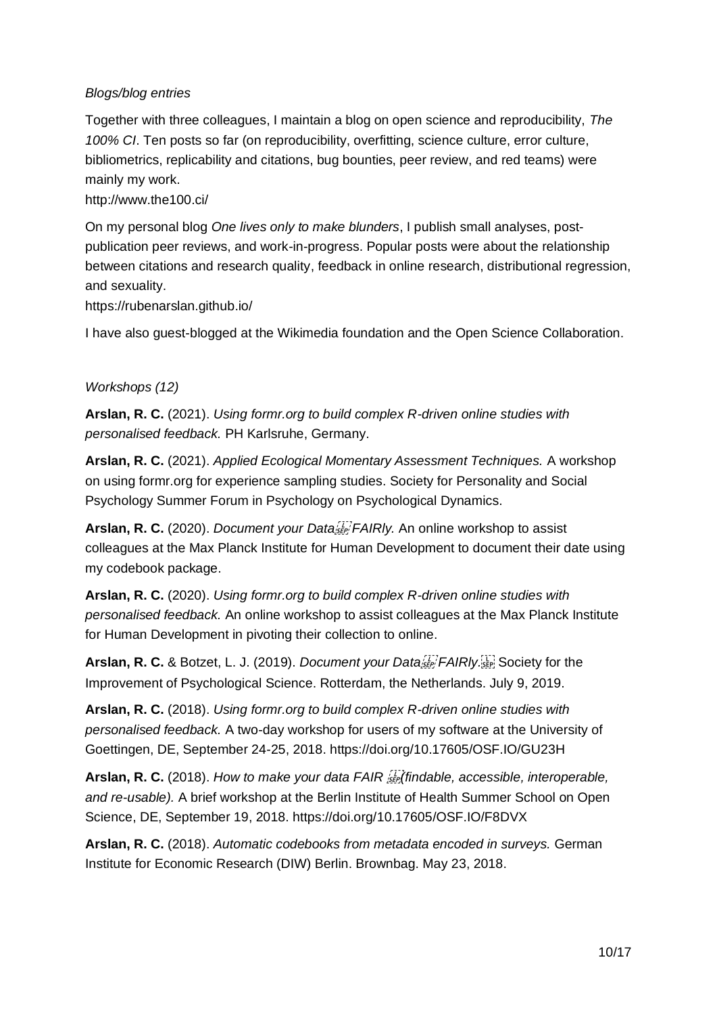### *Blogs/blog entries*

Together with three colleagues, I maintain a blog on open science and reproducibility, *The 100% CI*. Ten posts so far (on reproducibility, overfitting, science culture, error culture, bibliometrics, replicability and citations, bug bounties, peer review, and red teams) were mainly my work.

#### <http://www.the100.ci/>

On my personal blog *One lives only to make blunders*, I publish small analyses, postpublication peer reviews, and work-in-progress. Popular posts were about the relationship between citations and research quality, feedback in online research, distributional regression, and sexuality.

<https://rubenarslan.github.io/>

I have also guest-blogged at the Wikimedia foundation and the Open Science Collaboration.

### *Workshops (12)*

**Arslan, R. C.** (2021). *Using formr.org to build complex R-driven online studies with personalised feedback.* PH Karlsruhe, Germany.

**Arslan, R. C.** (2021). *Applied Ecological Momentary Assessment Techniques.* A workshop on using formr.org for experience sampling studies. Society for Personality and Social Psychology Summer Forum in Psychology on Psychological Dynamics.

**Arslan, R. C.** (2020). *Document your Data FAIRly.* An online workshop to assist colleagues at the Max Planck Institute for Human Development to document their date using my codebook package.

**Arslan, R. C.** (2020). *Using formr.org to build complex R-driven online studies with personalised feedback.* An online workshop to assist colleagues at the Max Planck Institute for Human Development in pivoting their collection to online.

Arslan, R. C. & Botzet, L. J. (2019). *Document your Data<sup>ry</sup> FAIRIy*: Society for the Improvement of Psychological Science. Rotterdam, the Netherlands. July 9, 2019.

**Arslan, R. C.** (2018). *Using formr.org to build complex R-driven online studies with personalised feedback.* A two-day workshop for users of my software at the University of Goettingen, DE, September 24-25, 2018. https://doi.org[/10.17605/OSF.IO/GU23H](http://doi.org/10.17605/OSF.IO/GU23H)

Arslan, R. C. (2018). How to make your data FAIR *finitionable*, accessible, interoperable, *and re-usable).* A brief workshop at the Berlin Institute of Health Summer School on Open Science, DE, September 19, 2018. https://doi.org[/10.17605/OSF.IO/F8DVX](https://doi.org/10.17605/OSF.IO/F8DVX)

**Arslan, R. C.** (2018). *Automatic codebooks from metadata encoded in surveys.* German Institute for Economic Research (DIW) Berlin. Brownbag. May 23, 2018.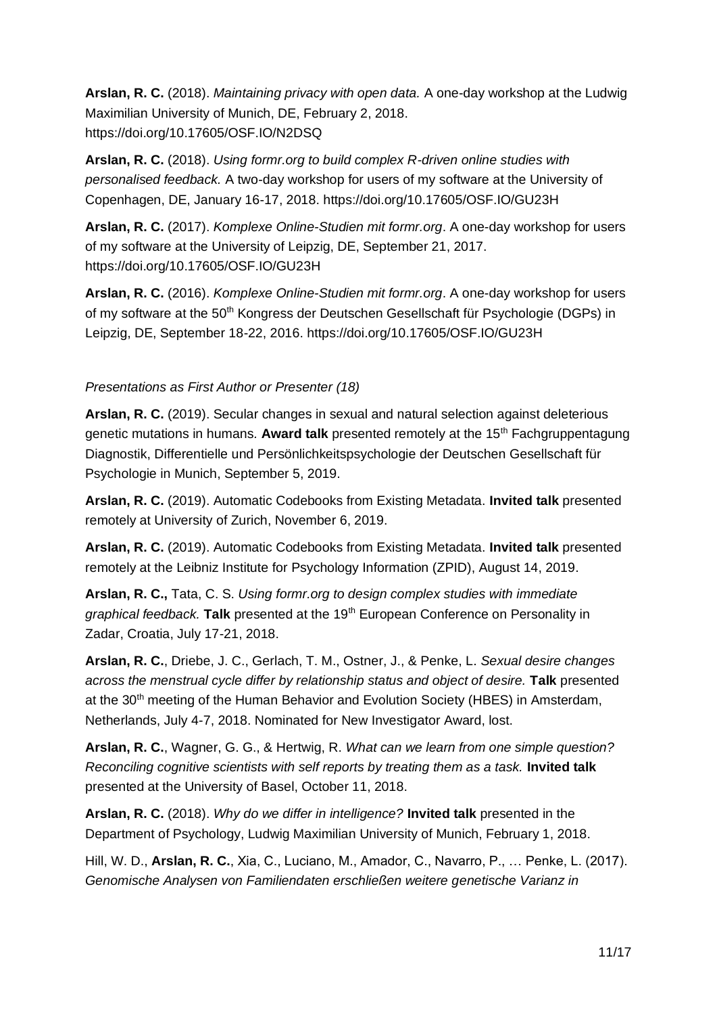**Arslan, R. C.** (2018). *Maintaining privacy with open data.* A one-day workshop at the Ludwig Maximilian University of Munich, DE, February 2, 2018. https://doi.org[/10.17605/OSF.IO/N2DSQ](http://doi.org/10.17605/OSF.IO/N2DSQ)

**Arslan, R. C.** (2018). *Using formr.org to build complex R-driven online studies with personalised feedback.* A two-day workshop for users of my software at the University of Copenhagen, DE, January 16-17, 2018. https://doi.org[/10.17605/OSF.IO/GU23H](http://doi.org/10.17605/OSF.IO/GU23H)

**Arslan, R. C.** (2017). *Komplexe Online-Studien mit formr.org*. A one-day workshop for users of my software at the University of Leipzig, DE, September 21, 2017. https://doi.org[/10.17605/OSF.IO/GU23H](http://doi.org/10.17605/OSF.IO/GU23H)

**Arslan, R. C.** (2016). *Komplexe Online-Studien mit formr.org*. A one-day workshop for users of my software at the 50<sup>th</sup> Kongress der Deutschen Gesellschaft für Psychologie (DGPs) in Leipzig, DE, September 18-22, 2016. https://doi.org[/10.17605/OSF.IO/GU23H](http://doi.org/10.17605/OSF.IO/GU23H)

### *Presentations as First Author or Presenter (18)*

**Arslan, R. C.** (2019). Secular changes in sexual and natural selection against deleterious genetic mutations in humans*.* **Award talk** presented remotely at the 15th Fachgruppentagung Diagnostik, Differentielle und Persönlichkeitspsychologie der Deutschen Gesellschaft für Psychologie in Munich, September 5, 2019.

**Arslan, R. C.** (2019). Automatic Codebooks from Existing Metadata. **Invited talk** presented remotely at University of Zurich, November 6, 2019.

**Arslan, R. C.** (2019). Automatic Codebooks from Existing Metadata. **Invited talk** presented remotely at the Leibniz Institute for Psychology Information (ZPID), August 14, 2019.

**Arslan, R. C.,** Tata, C. S. *Using formr.org to design complex studies with immediate graphical feedback.* **Talk** presented at the 19<sup>th</sup> European Conference on Personality in Zadar, Croatia, July 17-21, 2018.

**Arslan, R. C.**, Driebe, J. C., Gerlach, T. M., Ostner, J., & Penke, L. *Sexual desire changes across the menstrual cycle differ by relationship status and object of desire.* **Talk** presented at the 30<sup>th</sup> meeting of the Human Behavior and Evolution Society (HBES) in Amsterdam, Netherlands, July 4-7, 2018. Nominated for New Investigator Award, lost.

**Arslan, R. C.**, Wagner, G. G., & Hertwig, R. *What can we learn from one simple question? Reconciling cognitive scientists with self reports by treating them as a task.* **Invited talk**  presented at the University of Basel, October 11, 2018.

**Arslan, R. C.** (2018). *Why do we differ in intelligence?* **Invited talk** presented in the Department of Psychology, Ludwig Maximilian University of Munich, February 1, 2018.

Hill, W. D., **Arslan, R. C.**, Xia, C., Luciano, M., Amador, C., Navarro, P., … Penke, L. (2017). *Genomische Analysen von Familiendaten erschließen weitere genetische Varianz in*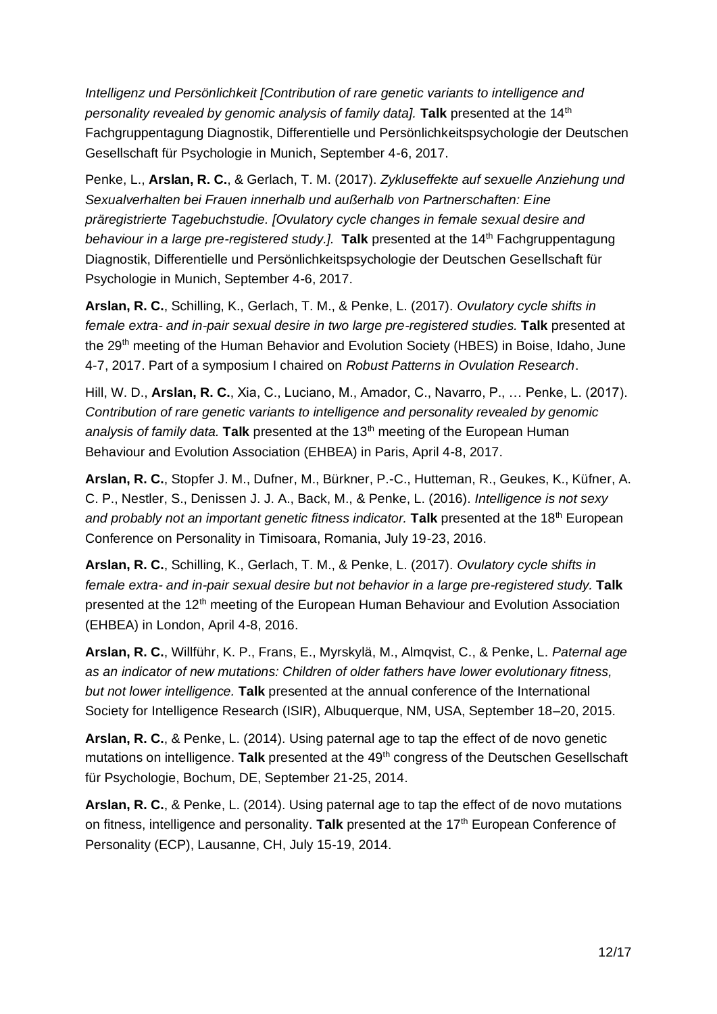*Intelligenz und Persönlichkeit [Contribution of rare genetic variants to intelligence and personality revealed by genomic analysis of family data].* **Talk** presented at the 14<sup>th</sup> Fachgruppentagung Diagnostik, Differentielle und Persönlichkeitspsychologie der Deutschen Gesellschaft für Psychologie in Munich, September 4-6, 2017.

Penke, L., **Arslan, R. C.**, & Gerlach, T. M. (2017). *Zykluseffekte auf sexuelle Anziehung und Sexualverhalten bei Frauen innerhalb und außerhalb von Partnerschaften: Eine präregistrierte Tagebuchstudie. [Ovulatory cycle changes in female sexual desire and behaviour in a large pre-registered study.].* **Talk** presented at the 14<sup>th</sup> Fachgruppentagung Diagnostik, Differentielle und Persönlichkeitspsychologie der Deutschen Gesellschaft für Psychologie in Munich, September 4-6, 2017.

**Arslan, R. C.**, Schilling, K., Gerlach, T. M., & Penke, L. (2017). *Ovulatory cycle shifts in female extra- and in-pair sexual desire in two large pre-registered studies.* **Talk** presented at the 29<sup>th</sup> meeting of the Human Behavior and Evolution Society (HBES) in Boise, Idaho, June 4-7, 2017. Part of a symposium I chaired on *Robust Patterns in Ovulation Research*.

Hill, W. D., **Arslan, R. C.**, Xia, C., Luciano, M., Amador, C., Navarro, P., … Penke, L. (2017). *Contribution of rare genetic variants to intelligence and personality revealed by genomic*  analysis of family data. **Talk** presented at the 13<sup>th</sup> meeting of the European Human Behaviour and Evolution Association (EHBEA) in Paris, April 4-8, 2017.

**Arslan, R. C.**, Stopfer J. M., Dufner, M., Bürkner, P.-C., Hutteman, R., Geukes, K., Küfner, A. C. P., Nestler, S., Denissen J. J. A., Back, M., & Penke, L. (2016). *Intelligence is not sexy and probably not an important genetic fitness indicator.* **Talk** presented at the 18<sup>th</sup> European Conference on Personality in Timisoara, Romania, July 19-23, 2016.

**Arslan, R. C.**, Schilling, K., Gerlach, T. M., & Penke, L. (2017). *Ovulatory cycle shifts in female extra- and in-pair sexual desire but not behavior in a large pre-registered study.* **Talk**  presented at the 12<sup>th</sup> meeting of the European Human Behaviour and Evolution Association (EHBEA) in London, April 4-8, 2016.

**Arslan, R. C.**, Willführ, K. P., Frans, E., Myrskylä, M., Almqvist, C., & Penke, L. *Paternal age as an indicator of new mutations: Children of older fathers have lower evolutionary fitness, but not lower intelligence.* **Talk** presented at the annual conference of the International Society for Intelligence Research (ISIR), Albuquerque, NM, USA, September 18–20, 2015.

**Arslan, R. C.**, & Penke, L. (2014). Using paternal age to tap the effect of de novo genetic mutations on intelligence. **Talk** presented at the 49<sup>th</sup> congress of the Deutschen Gesellschaft für Psychologie, Bochum, DE, September 21-25, 2014.

**Arslan, R. C.**, & Penke, L. (2014). Using paternal age to tap the effect of de novo mutations on fitness, intelligence and personality. Talk presented at the 17<sup>th</sup> European Conference of Personality (ECP), Lausanne, CH, July 15-19, 2014.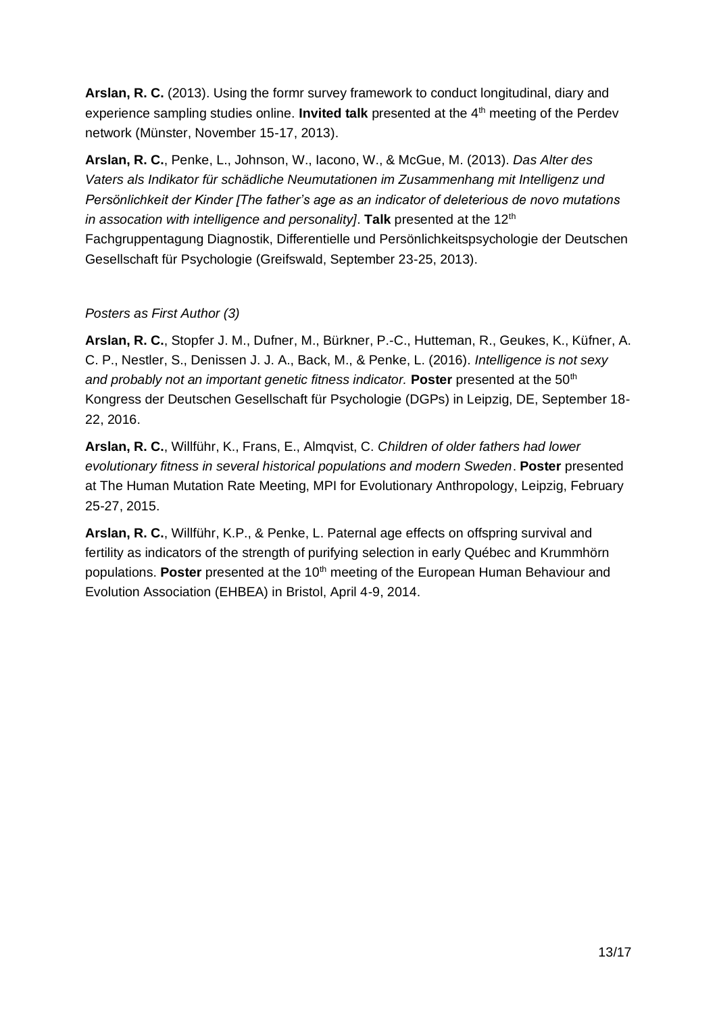**Arslan, R. C.** (2013). Using the formr survey framework to conduct longitudinal, diary and experience sampling studies online. **Invited talk** presented at the 4<sup>th</sup> meeting of the Perdev network (Münster, November 15-17, 2013).

**Arslan, R. C.**, Penke, L., Johnson, W., Iacono, W., & McGue, M. (2013). *Das Alter des Vaters als Indikator für schädliche Neumutationen im Zusammenhang mit Intelligenz und Persönlichkeit der Kinder [The father's age as an indicator of deleterious de novo mutations in assocation with intelligence and personality]*. Talk presented at the 12<sup>th</sup> Fachgruppentagung Diagnostik, Differentielle und Persönlichkeitspsychologie der Deutschen Gesellschaft für Psychologie (Greifswald, September 23-25, 2013).

# *Posters as First Author (3)*

**Arslan, R. C.**, Stopfer J. M., Dufner, M., Bürkner, P.-C., Hutteman, R., Geukes, K., Küfner, A. C. P., Nestler, S., Denissen J. J. A., Back, M., & Penke, L. (2016). *Intelligence is not sexy and probably not an important genetic fitness indicator.* **Poster** presented at the 50<sup>th</sup> Kongress der Deutschen Gesellschaft für Psychologie (DGPs) in Leipzig, DE, September 18- 22, 2016.

**Arslan, R. C.**, Willführ, K., Frans, E., Almqvist, C. *Children of older fathers had lower evolutionary fitness in several historical populations and modern Sweden*. **Poster** presented at The Human Mutation Rate Meeting, MPI for Evolutionary Anthropology, Leipzig, February 25-27, 2015.

**Arslan, R. C.**, Willführ, K.P., & Penke, L. Paternal age effects on offspring survival and fertility as indicators of the strength of purifying selection in early Québec and Krummhörn populations. **Poster** presented at the 10<sup>th</sup> meeting of the European Human Behaviour and Evolution Association (EHBEA) in Bristol, April 4-9, 2014.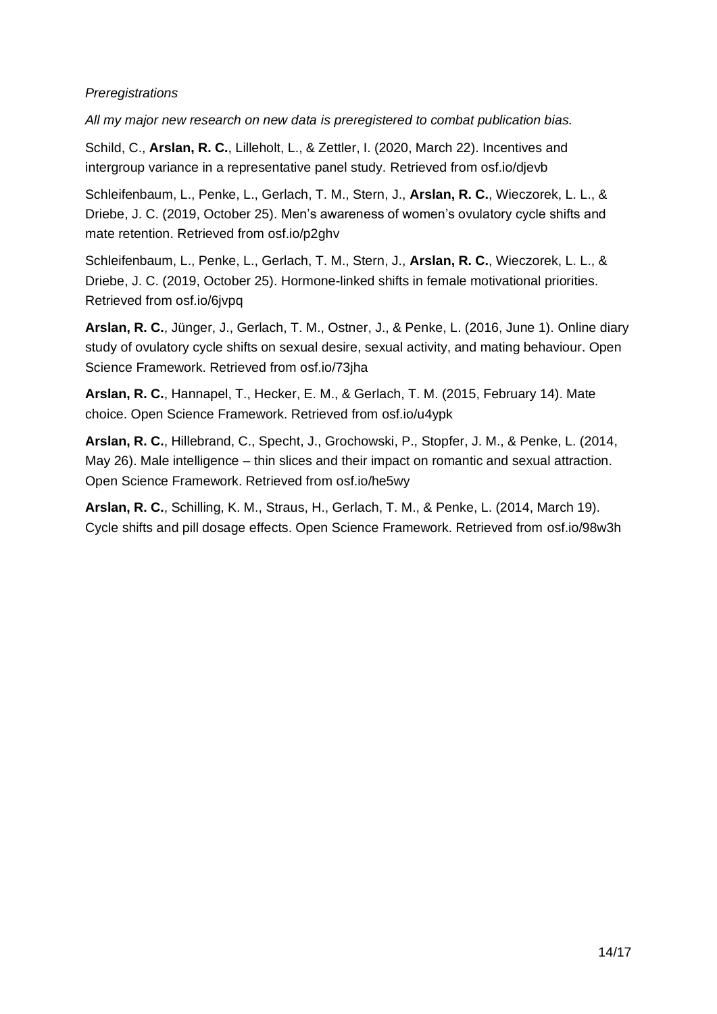### *Preregistrations*

*All my major new research on new data is preregistered to combat publication bias.*

Schild, C., **Arslan, R. C.**, Lilleholt, L., & Zettler, I. (2020, March 22). Incentives and intergroup variance in a representative panel study. Retrieved from [osf.io/djevb](http://osf.io/djevb)

Schleifenbaum, L., Penke, L., Gerlach, T. M., Stern, J., **Arslan, R. C.**, Wieczorek, L. L., & Driebe, J. C. (2019, October 25). Men's awareness of women's ovulatory cycle shifts and mate retention. Retrieved from [osf.io/p2ghv](http://osf.io/p2ghv)

Schleifenbaum, L., Penke, L., Gerlach, T. M., Stern, J., **Arslan, R. C.**, Wieczorek, L. L., & Driebe, J. C. (2019, October 25). Hormone-linked shifts in female motivational priorities. Retrieved from [osf.io/6jvpq](http://osf.io/6jvpq)

**Arslan, R. C.**, Jünger, J., Gerlach, T. M., Ostner, J., & Penke, L. (2016, June 1). Online diary study of ovulatory cycle shifts on sexual desire, sexual activity, and mating behaviour. Open Science Framework. Retrieved from [osf.io/73jha](http://osf.io/73jha)

**Arslan, R. C.**, Hannapel, T., Hecker, E. M., & Gerlach, T. M. (2015, February 14). Mate choice. Open Science Framework. Retrieved from [osf.io/u4ypk](http://osf.io/u4ypk)

**Arslan, R. C.**, Hillebrand, C., Specht, J., Grochowski, P., Stopfer, J. M., & Penke, L. (2014, May 26). Male intelligence – thin slices and their impact on romantic and sexual attraction. Open Science Framework. Retrieved from [osf.io/he5wy](http://osf.io/he5wy)

**Arslan, R. C.**, Schilling, K. M., Straus, H., Gerlach, T. M., & Penke, L. (2014, March 19). Cycle shifts and pill dosage effects. Open Science Framework. Retrieved from [osf.io/98w3h](http://osf.io/98w3h)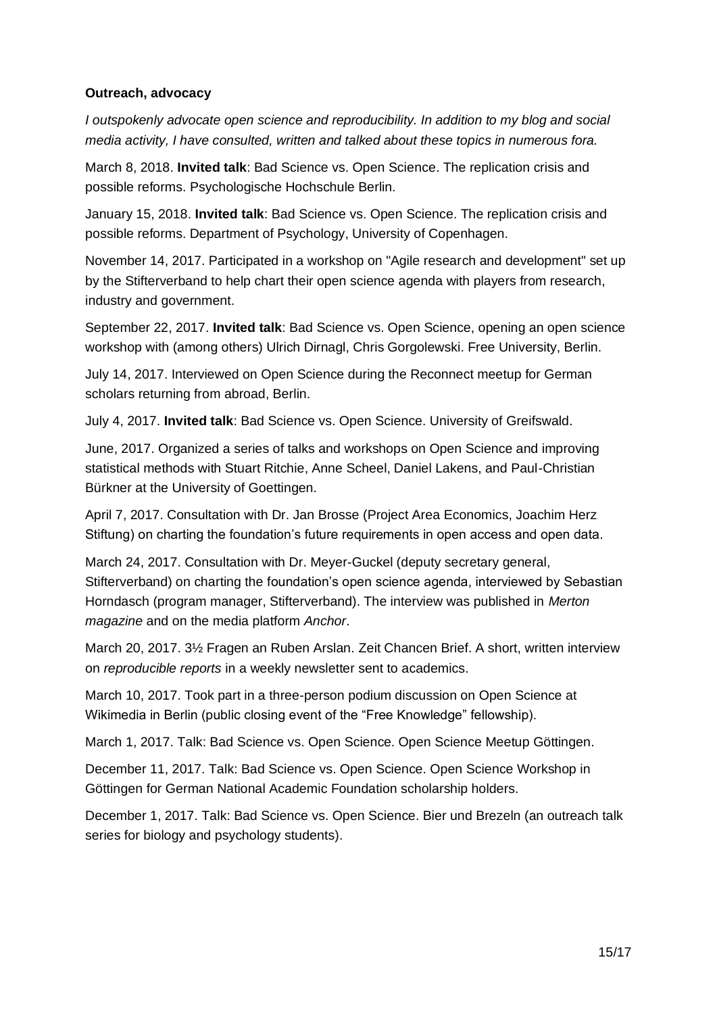#### **Outreach, advocacy**

*I outspokenly advocate open science and reproducibility. In addition to my blog and social media activity, I have consulted, written and talked about these topics in numerous fora.*

March 8, 2018. **Invited talk**: Bad Science vs. Open Science. The replication crisis and possible reforms. Psychologische Hochschule Berlin.

January 15, 2018. **Invited talk**: Bad Science vs. Open Science. The replication crisis and possible reforms. Department of Psychology, University of Copenhagen.

November 14, 2017. Participated in a workshop on "Agile research and development" set up by the Stifterverband to help chart their open science agenda with players from research, industry and government.

September 22, 2017. **Invited talk**: Bad Science vs. Open Science, opening an open science workshop with (among others) Ulrich Dirnagl, Chris Gorgolewski. Free University, Berlin.

July 14, 2017. Interviewed on Open Science during the Reconnect meetup for German scholars returning from abroad, Berlin.

July 4, 2017. **Invited talk**: Bad Science vs. Open Science. University of Greifswald.

June, 2017. Organized a series of talks and workshops on Open Science and improving statistical methods with Stuart Ritchie, Anne Scheel, Daniel Lakens, and Paul-Christian Bürkner at the University of Goettingen.

April 7, 2017. Consultation with Dr. Jan Brosse (Project Area Economics, Joachim Herz Stiftung) on charting the foundation's future requirements in open access and open data.

March 24, 2017. Consultation with Dr. Meyer-Guckel (deputy secretary general, Stifterverband) on charting the foundation's open science agenda, interviewed by Sebastian Horndasch (program manager, Stifterverband). The interview was published in *Merton magazine* and on the media platform *Anchor*.

March 20, 2017. 3½ Fragen an Ruben Arslan. Zeit Chancen Brief. A short, written interview on *reproducible reports* in a weekly newsletter sent to academics.

March 10, 2017. Took part in a three-person podium discussion on Open Science at Wikimedia in Berlin (public closing event of the "Free Knowledge" fellowship).

March 1, 2017. Talk: Bad Science vs. Open Science. Open Science Meetup Göttingen.

December 11, 2017. Talk: Bad Science vs. Open Science. Open Science Workshop in Göttingen for German National Academic Foundation scholarship holders.

December 1, 2017. Talk: Bad Science vs. Open Science. Bier und Brezeln (an outreach talk series for biology and psychology students).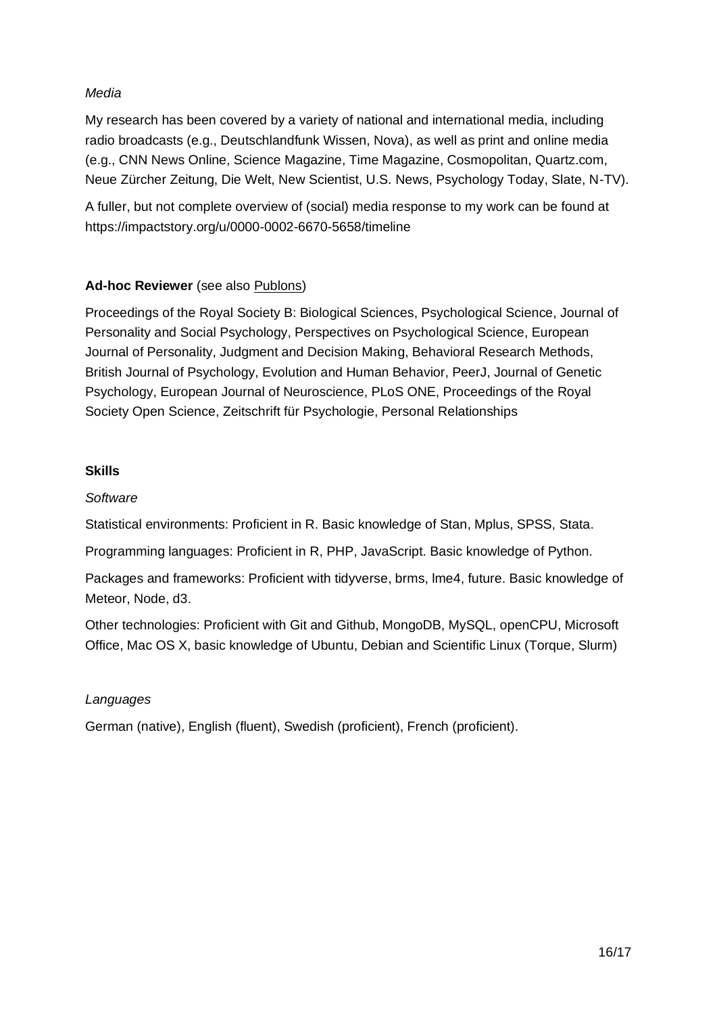# *Media*

My research has been covered by a variety of national and international media, including radio broadcasts (e.g., Deutschlandfunk Wissen, Nova), as well as print and online media (e.g., CNN News Online, Science Magazine, Time Magazine, Cosmopolitan, Quartz.com, Neue Zürcher Zeitung, Die Welt, New Scientist, U.S. News, Psychology Today, Slate, N-TV).

A fuller, but not complete overview of (social) media response to my work can be found at <https://impactstory.org/u/0000-0002-6670-5658/timeline>

# **Ad-hoc Reviewer** (see also [Publons\)](http://publons.com/a/1335714/)

Proceedings of the Royal Society B: Biological Sciences, Psychological Science, Journal of Personality and Social Psychology, Perspectives on Psychological Science, European Journal of Personality, Judgment and Decision Making, Behavioral Research Methods, British Journal of Psychology, Evolution and Human Behavior, PeerJ, Journal of Genetic Psychology, European Journal of Neuroscience, PLoS ONE, Proceedings of the Royal Society Open Science, Zeitschrift für Psychologie, Personal Relationships

### **Skills**

### *Software*

Statistical environments: Proficient in R. Basic knowledge of Stan, Mplus, SPSS, Stata.

Programming languages: Proficient in R, PHP, JavaScript. Basic knowledge of Python.

Packages and frameworks: Proficient with tidyverse, brms, lme4, future. Basic knowledge of Meteor, Node, d3.

Other technologies: Proficient with Git and Github, MongoDB, MySQL, openCPU, Microsoft Office, Mac OS X, basic knowledge of Ubuntu, Debian and Scientific Linux (Torque, Slurm)

### *Languages*

German (native), English (fluent), Swedish (proficient), French (proficient).